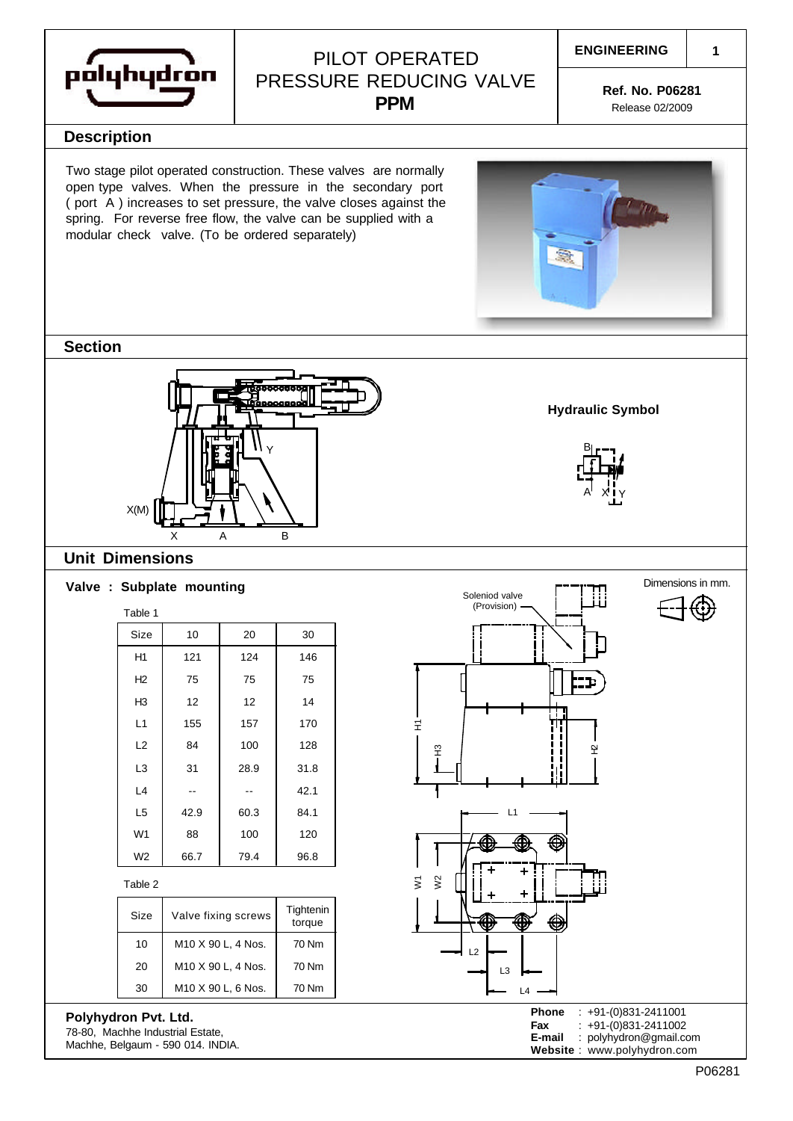

## PILOT OPERATED PRESSURE REDUCING VALVE **PPM**

**ENGINEERING**

**1**

**Ref. No. P06281** Release 02/2009

### **Description**

Two stage pilot operated construction. These valves are normally open type valves. When the pressure in the secondary port ( port A ) increases to set pressure, the valve closes against the spring. For reverse free flow, the valve can be supplied with a modular check valve. (To be ordered separately)



### **Section**



### **Unit Dimensions**

| Table 1        |      |      |      |
|----------------|------|------|------|
| Size           | 10   | 20   | 30   |
| H1             | 121  | 124  | 146  |
| H2             | 75   | 75   | 75   |
| H3             | 12   | 12   | 14   |
| L1             | 155  | 157  | 170  |
| L2             | 84   | 100  | 128  |
| L3             | 31   | 28.9 | 31.8 |
| L4             |      |      | 42.1 |
| L <sub>5</sub> | 42.9 | 60.3 | 84.1 |
| W <sub>1</sub> | 88   | 100  | 120  |
| W <sub>2</sub> | 66.7 | 79.4 | 96.8 |

Table 2

| Size | Valve fixing screws | Tightenin<br>torque |  |  |  |
|------|---------------------|---------------------|--|--|--|
| 10   | M10 X 90 L, 4 Nos.  | 70 Nm               |  |  |  |
| 20   | M10 X 90 L, 4 Nos.  | 70 Nm               |  |  |  |
| 30   | M10 X 90 L, 6 Nos.  | 70 Nm               |  |  |  |

### **Polyhydron Pvt. Ltd.**

78-80, Machhe Industrial Estate, Machhe, Belgaum - 590 014. INDIA.



A

X Y

B

**Hydraulic Symbol**

P06281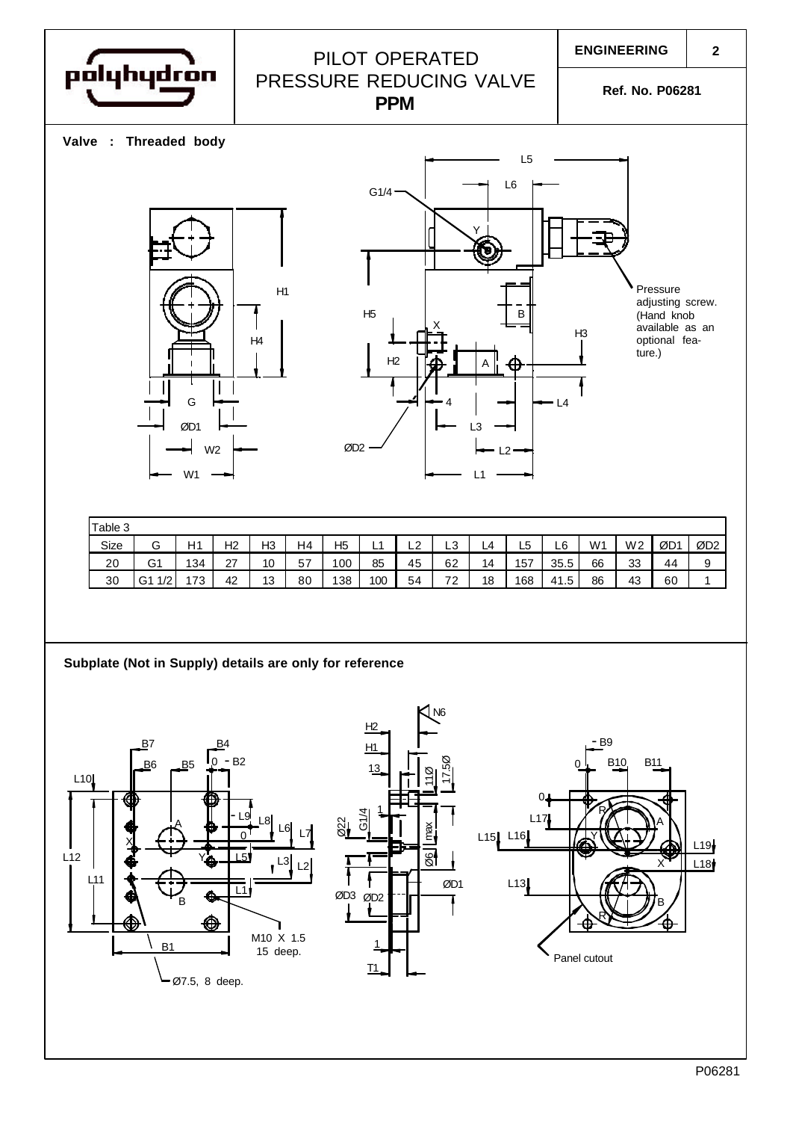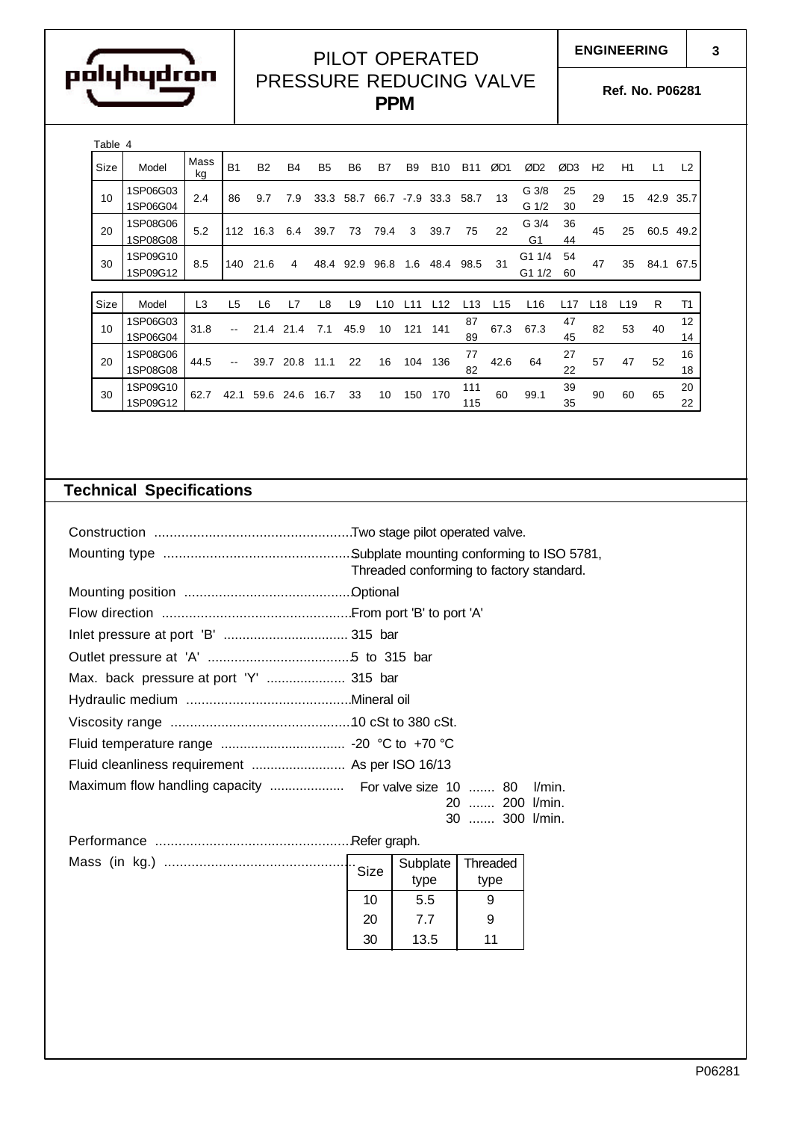

# PILOT OPERATED PRESSURE REDUCING VALVE

**PPM**

**Ref. No. P06281**

**ENGINEERING**

| Table 4 |                      |                |                |                    |           |                |                |      |        |            |            |      |                           |          |                |                 |      |           |
|---------|----------------------|----------------|----------------|--------------------|-----------|----------------|----------------|------|--------|------------|------------|------|---------------------------|----------|----------------|-----------------|------|-----------|
| Size    | Model                | Mass<br>kg     | <b>B1</b>      | <b>B2</b>          | <b>B4</b> | B <sub>5</sub> | B <sub>6</sub> | B7   | B9     | <b>B10</b> | <b>B11</b> | ØD1  | ØD <sub>2</sub>           | ØD3      | H <sub>2</sub> | H1              | L1   | L2        |
| 10      | 1SP06G03<br>1SP06G04 | 2.4            | 86             | 9.7                | 7.9       | 33.3           | 58.7           | 66.7 | $-7.9$ | 33.3       | 58.7       | 13   | G <sub>3/8</sub><br>G 1/2 | 25<br>30 | 29             | 15              | 42.9 | 35.7      |
| 20      | 1SP08G06<br>1SP08G08 | 5.2            | 112            | 16.3               | 6.4       | 39.7           | 73             | 79.4 | 3      | 39.7       | 75         | 22   | G 3/4<br>G1               | 36<br>44 | 45             | 25              |      | 60.5 49.2 |
| 30      | 1SP09G10<br>1SP09G12 | 8.5            | 140            | 21.6               | 4         | 48.4           | 92.9           | 96.8 | 1.6    | 48.4       | 98.5       | 31   | G1 1/4<br>G1 1/2          | 54<br>60 | 47             | 35              | 84.1 | 67.5      |
|         |                      |                |                |                    |           |                |                |      |        |            |            |      |                           |          |                |                 |      |           |
| Size    | Model                | L <sub>3</sub> | L <sub>5</sub> | L6                 | L7        | L8             | L <sub>9</sub> | L10  | l 11   | L12        | L13        | L15  | L <sub>16</sub>           | L17      | L18            | L <sub>19</sub> | R    | T1        |
| 10      | 1SP06G03<br>1SP06G04 | 31.8           |                | 21<br>$\mathbf{A}$ | 21.4      | 7.1            | 45.9           | 10   | 121    | 141        | 87<br>89   | 67.3 | 67.3                      | 47<br>45 | 82             | 53              | 40   | 12<br>14  |
| 20      | 1SP08G06<br>1SP08G08 | 44.5           |                | 39.7               | 20.8      | 11.1           | 22             | 16   | 104    | 136        | 77<br>82   | 42.6 | 64                        | 27<br>22 | 57             | 47              | 52   | 16<br>18  |
| 30      | 1SP09G10<br>1SP09G12 | 62.7           | 42.1           | 59.6               | 24.6      | 16.7           | 33             | 10   | 150    | 170        | 111<br>115 | 60   | 99.1                      | 39<br>35 | 90             | 60              | 65   | 20<br>22  |

# **Technical Specifications**

|                                         | Threaded conforming to factory standard.   |  |  |  |  |  |
|-----------------------------------------|--------------------------------------------|--|--|--|--|--|
|                                         |                                            |  |  |  |  |  |
|                                         |                                            |  |  |  |  |  |
|                                         |                                            |  |  |  |  |  |
|                                         |                                            |  |  |  |  |  |
| Max. back pressure at port 'Y'  315 bar |                                            |  |  |  |  |  |
|                                         |                                            |  |  |  |  |  |
|                                         |                                            |  |  |  |  |  |
|                                         |                                            |  |  |  |  |  |
|                                         |                                            |  |  |  |  |  |
|                                         | l/min.<br>20  200 l/min.<br>30  300 l/min. |  |  |  |  |  |
|                                         |                                            |  |  |  |  |  |

| Mass (in kg.) |  |    | Subplate | Threaded  <br>type |  |
|---------------|--|----|----------|--------------------|--|
|               |  | 10 | 5.5      | 9                  |  |
|               |  | 20 | 7.7      | 9                  |  |
|               |  | 30 | 13.5     | 11                 |  |

**3**